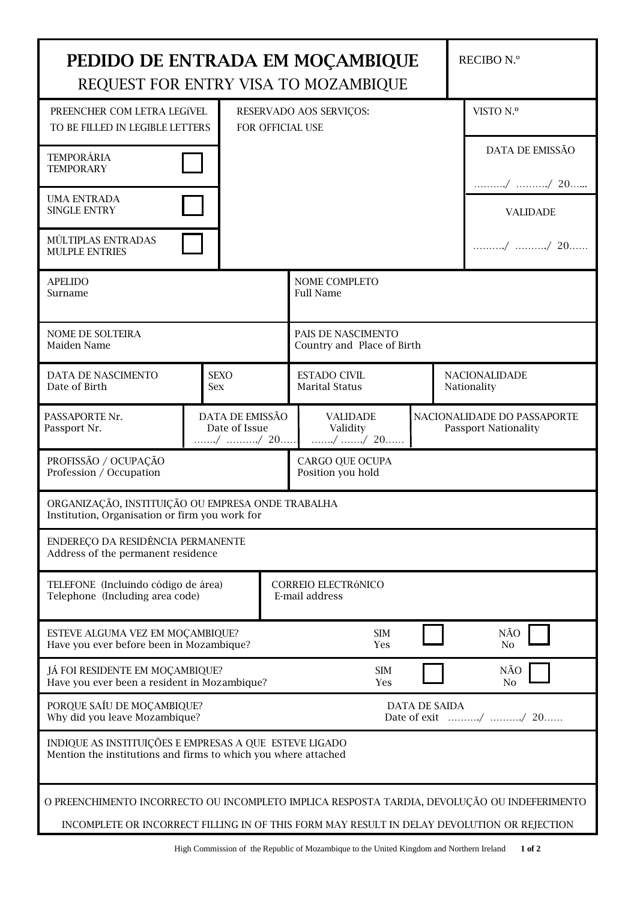| PEDIDO DE ENTRADA EM MOÇAMBIQUE<br>REQUEST FOR ENTRY VISA TO MOZAMBIQUE                                                  |  | RECIBO N.º                                  |  |                                                  |                       |  |                                                            |  |  |
|--------------------------------------------------------------------------------------------------------------------------|--|---------------------------------------------|--|--------------------------------------------------|-----------------------|--|------------------------------------------------------------|--|--|
| PREENCHER COM LETRA LEGÍVEL<br>TO BE FILLED IN LEGIBLE LETTERS<br>FOR OFFICIAL USE                                       |  |                                             |  | RESERVADO AOS SERVIÇOS:                          |                       |  | VISTO N.º                                                  |  |  |
| <b>TEMPORÁRIA</b><br><b>TEMPORARY</b>                                                                                    |  |                                             |  |                                                  |                       |  | DATA DE EMISSÃO                                            |  |  |
| <b>UMA ENTRADA</b>                                                                                                       |  |                                             |  |                                                  |                       |  | / / 20                                                     |  |  |
| <b>SINGLE ENTRY</b>                                                                                                      |  |                                             |  |                                                  |                       |  | <b>VALIDADE</b>                                            |  |  |
| MÚLTIPLAS ENTRADAS<br><b>MULPLE ENTRIES</b>                                                                              |  |                                             |  |                                                  |                       |  | / / 20                                                     |  |  |
| <b>APELIDO</b><br>Surname                                                                                                |  | NOME COMPLETO<br><b>Full Name</b>           |  |                                                  |                       |  |                                                            |  |  |
| NOME DE SOLTEIRA<br>Maiden Name                                                                                          |  |                                             |  | PAIS DE NASCIMENTO<br>Country and Place of Birth |                       |  |                                                            |  |  |
| DATA DE NASCIMENTO<br>Date of Birth                                                                                      |  | <b>SEXO</b><br><b>Sex</b>                   |  | <b>ESTADO CIVIL</b><br><b>Marital Status</b>     |                       |  | <b>NACIONALIDADE</b><br>Nationality                        |  |  |
| PASSAPORTE Nr.<br>Passport Nr.                                                                                           |  | DATA DE EMISSÃO<br>Date of Issue<br>/ / 20  |  | <b>VALIDADE</b><br>Validity<br>/ / 20            |                       |  | NACIONALIDADE DO PASSAPORTE<br><b>Passport Nationality</b> |  |  |
| PROFISSÃO / OCUPAÇÃO<br>Profession / Occupation                                                                          |  | <b>CARGO QUE OCUPA</b><br>Position you hold |  |                                                  |                       |  |                                                            |  |  |
| ORGANIZAÇÃO, INSTITUIÇÃO OU EMPRESA ONDE TRABALHA<br>Institution, Organisation or firm you work for                      |  |                                             |  |                                                  |                       |  |                                                            |  |  |
| ENDEREÇO DA RESIDÊNCIA PERMANENTE<br>Address of the permanent residence                                                  |  |                                             |  |                                                  |                       |  |                                                            |  |  |
| TELEFONE (Incluindo código de área)<br>Telephone (Including area code)                                                   |  |                                             |  | CORREIO ELECTRÓNICO<br>E-mail address            |                       |  |                                                            |  |  |
| ESTEVE ALGUMA VEZ EM MOÇAMBIQUE?<br>Have you ever before been in Mozambique?                                             |  |                                             |  | <b>SIM</b><br>Yes                                |                       |  | NÃO<br>No.                                                 |  |  |
| JÁ FOI RESIDENTE EM MOÇAMBIQUE?<br>Have you ever been a resident in Mozambique?                                          |  | <b>SIM</b><br>Yes                           |  |                                                  | NÃO<br>N <sub>0</sub> |  |                                                            |  |  |
| PORQUE SAÍU DE MOÇAMBIQUE?<br>Why did you leave Mozambique?                                                              |  | <b>DATA DE SAIDA</b><br>Date of exit / / 20 |  |                                                  |                       |  |                                                            |  |  |
| INDIQUE AS INSTITUIÇÕES E EMPRESAS A QUE ESTEVE LIGADO<br>Mention the institutions and firms to which you where attached |  |                                             |  |                                                  |                       |  |                                                            |  |  |
| O PREENCHIMENTO INCORRECTO OU INCOMPLETO IMPLICA RESPOSTA TARDIA, DEVOLUÇÃO OU INDEFERIMENTO                             |  |                                             |  |                                                  |                       |  |                                                            |  |  |
| INCOMPLETE OR INCORRECT FILLING IN OF THIS FORM MAY RESULT IN DELAY DEVOLUTION OR REJECTION                              |  |                                             |  |                                                  |                       |  |                                                            |  |  |